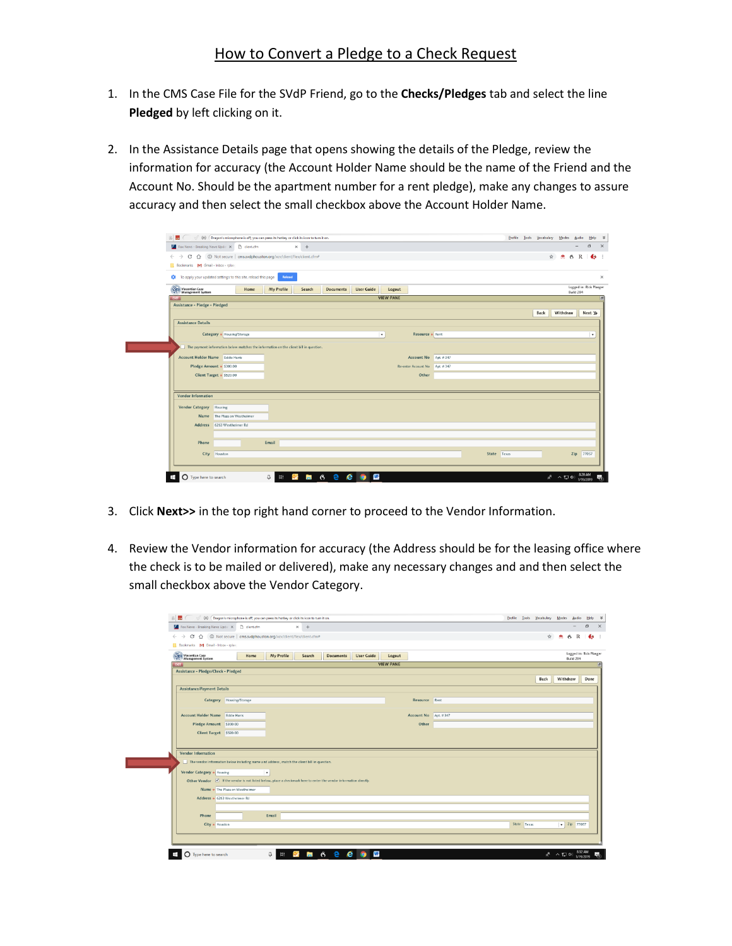## How to Convert a Pledge to a Check Request

- 1. In the CMS Case File for the SVdP Friend, go to the **Checks/Pledges** tab and select the line **Pledged** by left clicking on it.
- 2. In the Assistance Details page that opens showing the details of the Pledge, review the information for accuracy (the Account Holder Name should be the name of the Friend and the Account No. Should be the apartment number for a rent pledge), make any changes to assure accuracy and then select the small checkbox above the Account Holder Name.

|                                               | Fox News - Breaking News Updal X Client.cfm                                                                              |            | $x +$  |                  |                   |                  |                                |  |             |      |               |                                      |
|-----------------------------------------------|--------------------------------------------------------------------------------------------------------------------------|------------|--------|------------------|-------------------|------------------|--------------------------------|--|-------------|------|---------------|--------------------------------------|
|                                               | $\leftarrow$ $\rightarrow$ $\mathbb{C}$ $\bigcap$ $\bigcap$ Not secure   cms.svdphouston.org/xcv/client/flex/client.cfm# |            |        |                  |                   |                  |                                |  |             | ☆    | $\bullet$ 6 R |                                      |
| Bookmarks M Gmail - Inbox - rplac-            |                                                                                                                          |            |        |                  |                   |                  |                                |  |             |      |               |                                      |
|                                               |                                                                                                                          |            |        |                  |                   |                  |                                |  |             |      |               |                                      |
|                                               | To apply your updated settings to this site, reload this page                                                            | Reload     |        |                  |                   |                  |                                |  |             |      |               |                                      |
| <b>Servicentian Case</b><br>Management System | Home                                                                                                                     | My Profile | Search | <b>Documents</b> | <b>User Guide</b> | Logout           |                                |  |             |      |               | Logged in: Rick Plaeger<br>Build 284 |
| <b>EGT</b>                                    |                                                                                                                          |            |        |                  |                   | <b>VIEW PANE</b> |                                |  |             |      |               |                                      |
| Assistance - Pledge - Pledged                 |                                                                                                                          |            |        |                  |                   |                  |                                |  |             |      |               |                                      |
|                                               |                                                                                                                          |            |        |                  |                   |                  |                                |  |             | Back | Withdraw      |                                      |
| <b>Assistance Details</b>                     |                                                                                                                          |            |        |                  |                   |                  |                                |  |             |      |               |                                      |
|                                               |                                                                                                                          |            |        |                  |                   |                  |                                |  |             |      |               |                                      |
|                                               | Category * Housing/Storage                                                                                               |            |        |                  |                   | $^\star$         | Resource * Rent                |  |             |      |               |                                      |
|                                               | The payment information below matches the information on the client bill in question                                     |            |        |                  |                   |                  |                                |  |             |      |               |                                      |
|                                               |                                                                                                                          |            |        |                  |                   |                  |                                |  |             |      |               |                                      |
| <b>Account Holder Name</b> Eddie Harris       |                                                                                                                          |            |        |                  |                   |                  | Account No Apt. #347           |  |             |      |               |                                      |
|                                               | Pledge Amount + \$300.00                                                                                                 |            |        |                  |                   |                  | Re-enter Account No Apt. # 347 |  |             |      |               |                                      |
|                                               | Client Target + \$520.00                                                                                                 |            |        |                  |                   |                  | Other                          |  |             |      |               |                                      |
|                                               |                                                                                                                          |            |        |                  |                   |                  |                                |  |             |      |               |                                      |
| Vendor Information                            |                                                                                                                          |            |        |                  |                   |                  |                                |  |             |      |               |                                      |
|                                               |                                                                                                                          |            |        |                  |                   |                  |                                |  |             |      |               |                                      |
| Vendor Category Housing                       |                                                                                                                          |            |        |                  |                   |                  |                                |  |             |      |               |                                      |
|                                               | Name The Plaza on Westheimer                                                                                             |            |        |                  |                   |                  |                                |  |             |      |               |                                      |
|                                               | Address 6263 Westheimer Rd                                                                                               |            |        |                  |                   |                  |                                |  |             |      |               |                                      |
|                                               |                                                                                                                          |            |        |                  |                   |                  |                                |  |             |      |               |                                      |
| Phone                                         |                                                                                                                          | Email      |        |                  |                   |                  |                                |  |             |      |               |                                      |
|                                               |                                                                                                                          |            |        |                  |                   |                  |                                |  |             |      |               |                                      |
|                                               | City Houston                                                                                                             |            |        |                  |                   |                  |                                |  | State Texas |      |               |                                      |
|                                               |                                                                                                                          |            |        |                  |                   |                  |                                |  |             |      |               |                                      |

- 3. Click **Next>>** in the top right hand corner to proceed to the Vendor Information.
- 4. Review the Vendor information for accuracy (the Address should be for the leasing office where the check is to be mailed or delivered), make any necessary changes and and then select the small checkbox above the Vendor Category.

|                                         | Fox News - Breaking News Upda X n dient.cfm                                                                           |            | $\times$ + |           |                   |                  |                      |  |             |               |                    |
|-----------------------------------------|-----------------------------------------------------------------------------------------------------------------------|------------|------------|-----------|-------------------|------------------|----------------------|--|-------------|---------------|--------------------|
|                                         | $\leftarrow$ $\rightarrow$ $\mathbb{C}$ $\Delta$ $\odot$ Not secure   cms.svdphouston.org/xcv/client/flex/client.cfm# |            |            |           |                   |                  |                      |  |             | $\frac{1}{2}$ | $\bullet$ 6 R      |
| Bookmarks M Gmail - Inbox - rplac       |                                                                                                                       |            |            |           |                   |                  |                      |  |             |               |                    |
| Vincentian Case<br>Management System    | Home                                                                                                                  | My Profile | Search     | Documents | <b>User Guide</b> | Logout           |                      |  |             |               |                    |
| <b>BIT</b>                              |                                                                                                                       |            |            |           |                   | <b>VIEW PANE</b> |                      |  |             |               |                    |
| Assistance - Pledge/Check - Pledged     |                                                                                                                       |            |            |           |                   |                  |                      |  |             |               |                    |
|                                         |                                                                                                                       |            |            |           |                   |                  |                      |  |             | Back          | Withdraw           |
| <b>Assistance/Payment Details</b>       |                                                                                                                       |            |            |           |                   |                  |                      |  |             |               |                    |
|                                         | Category Housing/Storage                                                                                              |            |            |           |                   |                  | Resource Rent        |  |             |               |                    |
|                                         |                                                                                                                       |            |            |           |                   |                  |                      |  |             |               |                    |
| <b>Account Holder Name</b> Eddie Harris |                                                                                                                       |            |            |           |                   |                  | Account No Apt. #347 |  |             |               |                    |
|                                         | Pledge Amount \$300.00                                                                                                |            |            |           |                   |                  | Other                |  |             |               |                    |
|                                         | Client Target \$520.00                                                                                                |            |            |           |                   |                  |                      |  |             |               |                    |
|                                         |                                                                                                                       |            |            |           |                   |                  |                      |  |             |               |                    |
|                                         |                                                                                                                       |            |            |           |                   |                  |                      |  |             |               |                    |
| Vendor Information                      |                                                                                                                       |            |            |           |                   |                  |                      |  |             |               |                    |
|                                         | The vendor information below including name and address, match the client bill in question.                           |            |            |           |                   |                  |                      |  |             |               |                    |
| Vendor Category & Housing               |                                                                                                                       | ۰          |            |           |                   |                  |                      |  |             |               |                    |
|                                         | Other Vendor V If the vendor is not listed below, place a checkmark here to enter the vendor information directly.    |            |            |           |                   |                  |                      |  |             |               |                    |
|                                         | Name * The Plaza on Westheimer                                                                                        |            |            |           |                   |                  |                      |  |             |               |                    |
|                                         |                                                                                                                       |            |            |           |                   |                  |                      |  |             |               |                    |
|                                         | Address + 6263 Westheimer Rd                                                                                          |            |            |           |                   |                  |                      |  |             |               |                    |
|                                         |                                                                                                                       |            |            |           |                   |                  |                      |  |             |               |                    |
| Phone                                   | City a Houston                                                                                                        | Email      |            |           |                   |                  |                      |  | State Texas |               | $\sqrt{2ip}$ 77057 |